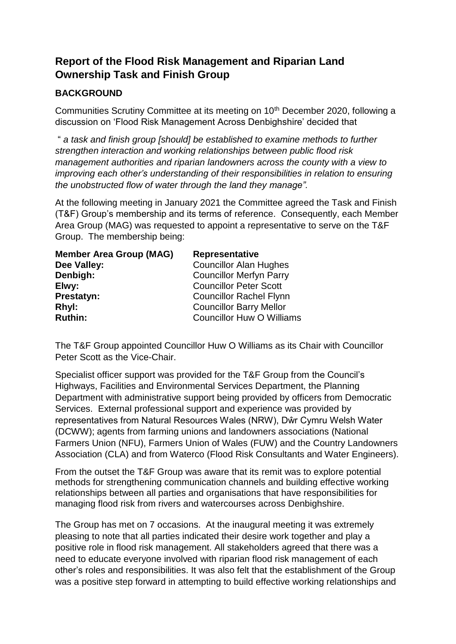# **Report of the Flood Risk Management and Riparian Land Ownership Task and Finish Group**

## **BACKGROUND**

Communities Scrutiny Committee at its meeting on 10<sup>th</sup> December 2020, following a discussion on 'Flood Risk Management Across Denbighshire' decided that

" *a task and finish group [should] be established to examine methods to further strengthen interaction and working relationships between public flood risk management authorities and riparian landowners across the county with a view to improving each other's understanding of their responsibilities in relation to ensuring the unobstructed flow of water through the land they manage".*

At the following meeting in January 2021 the Committee agreed the Task and Finish (T&F) Group's membership and its terms of reference. Consequently, each Member Area Group (MAG) was requested to appoint a representative to serve on the T&F Group. The membership being:

| <b>Member Area Group (MAG)</b> | Representative                   |
|--------------------------------|----------------------------------|
| Dee Valley:                    | <b>Councillor Alan Hughes</b>    |
| Denbigh:                       | <b>Councillor Merfyn Parry</b>   |
| Elwy:                          | <b>Councillor Peter Scott</b>    |
| Prestatyn:                     | <b>Councillor Rachel Flynn</b>   |
| Rhyl:                          | <b>Councillor Barry Mellor</b>   |
| <b>Ruthin:</b>                 | <b>Councillor Huw O Williams</b> |

The T&F Group appointed Councillor Huw O Williams as its Chair with Councillor Peter Scott as the Vice-Chair.

Specialist officer support was provided for the T&F Group from the Council's Highways, Facilities and Environmental Services Department, the Planning Department with administrative support being provided by officers from Democratic Services. External professional support and experience was provided by representatives from Natural Resources Wales (NRW), Dŵr Cymru Welsh Water (DCWW); agents from farming unions and landowners associations (National Farmers Union (NFU), Farmers Union of Wales (FUW) and the Country Landowners Association (CLA) and from Waterco (Flood Risk Consultants and Water Engineers).

From the outset the T&F Group was aware that its remit was to explore potential methods for strengthening communication channels and building effective working relationships between all parties and organisations that have responsibilities for managing flood risk from rivers and watercourses across Denbighshire.

The Group has met on 7 occasions. At the inaugural meeting it was extremely pleasing to note that all parties indicated their desire work together and play a positive role in flood risk management. All stakeholders agreed that there was a need to educate everyone involved with riparian flood risk management of each other's roles and responsibilities. It was also felt that the establishment of the Group was a positive step forward in attempting to build effective working relationships and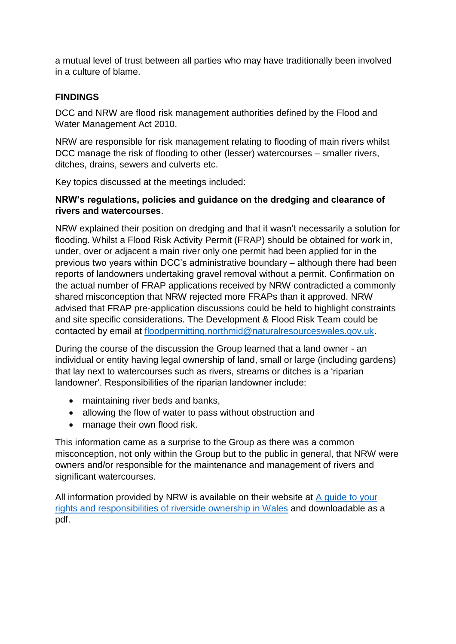a mutual level of trust between all parties who may have traditionally been involved in a culture of blame.

## **FINDINGS**

DCC and NRW are flood risk management authorities defined by the Flood and Water Management Act 2010.

NRW are responsible for risk management relating to flooding of main rivers whilst DCC manage the risk of flooding to other (lesser) watercourses – smaller rivers, ditches, drains, sewers and culverts etc.

Key topics discussed at the meetings included:

#### **NRW's regulations, policies and guidance on the dredging and clearance of rivers and watercourses**.

NRW explained their position on dredging and that it wasn't necessarily a solution for flooding. Whilst a Flood Risk Activity Permit (FRAP) should be obtained for work in, under, over or adjacent a main river only one permit had been applied for in the previous two years within DCC's administrative boundary – although there had been reports of landowners undertaking gravel removal without a permit. Confirmation on the actual number of FRAP applications received by NRW contradicted a commonly shared misconception that NRW rejected more FRAPs than it approved. NRW advised that FRAP pre-application discussions could be held to highlight constraints and site specific considerations. The Development & Flood Risk Team could be contacted by email at [floodpermitting.northmid@naturalresourceswales.gov.uk.](mailto:floodpermitting.northmid@naturalresourceswales.gov.uk)

During the course of the discussion the Group learned that a land owner - an individual or entity having legal ownership of land, small or large (including gardens) that lay next to watercourses such as rivers, streams or ditches is a 'riparian landowner'. Responsibilities of the riparian landowner include:

- maintaining river beds and banks,
- allowing the flow of water to pass without obstruction and
- manage their own flood risk.

This information came as a surprise to the Group as there was a common misconception, not only within the Group but to the public in general, that NRW were owners and/or responsible for the maintenance and management of rivers and significant watercourses.

All information provided by NRW is available on their website at A quide to your [rights and responsibilities of riverside ownership in Wales](https://naturalresources.wales/flooding/managing-flood-risk/riverside-property-owners-know-your-rights-and-responsibilities/?lang=en) and downloadable as a pdf.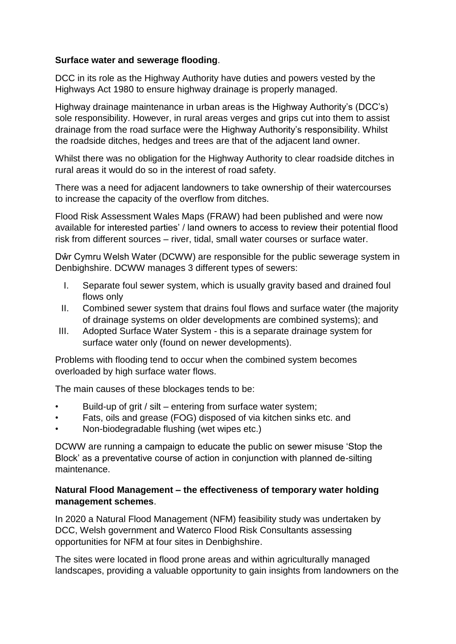#### **Surface water and sewerage flooding**.

DCC in its role as the Highway Authority have duties and powers vested by the Highways Act 1980 to ensure highway drainage is properly managed.

Highway drainage maintenance in urban areas is the Highway Authority's (DCC's) sole responsibility. However, in rural areas verges and grips cut into them to assist drainage from the road surface were the Highway Authority's responsibility. Whilst the roadside ditches, hedges and trees are that of the adjacent land owner.

Whilst there was no obligation for the Highway Authority to clear roadside ditches in rural areas it would do so in the interest of road safety.

There was a need for adjacent landowners to take ownership of their watercourses to increase the capacity of the overflow from ditches.

Flood Risk Assessment Wales Maps (FRAW) had been published and were now available for interested parties' / land owners to access to review their potential flood risk from different sources – river, tidal, small water courses or surface water.

Dŵr Cymru Welsh Water (DCWW) are responsible for the public sewerage system in Denbighshire. DCWW manages 3 different types of sewers:

- I. Separate foul sewer system, which is usually gravity based and drained foul flows only
- II. Combined sewer system that drains foul flows and surface water (the majority of drainage systems on older developments are combined systems); and
- III. Adopted Surface Water System this is a separate drainage system for surface water only (found on newer developments).

Problems with flooding tend to occur when the combined system becomes overloaded by high surface water flows.

The main causes of these blockages tends to be:

- Build-up of grit / silt entering from surface water system;
- Fats, oils and grease (FOG) disposed of via kitchen sinks etc. and
- Non-biodegradable flushing (wet wipes etc.)

DCWW are running a campaign to educate the public on sewer misuse 'Stop the Block' as a preventative course of action in conjunction with planned de-silting maintenance.

#### **Natural Flood Management – the effectiveness of temporary water holding management schemes**.

In 2020 a Natural Flood Management (NFM) feasibility study was undertaken by DCC, Welsh government and Waterco Flood Risk Consultants assessing opportunities for NFM at four sites in Denbighshire.

The sites were located in flood prone areas and within agriculturally managed landscapes, providing a valuable opportunity to gain insights from landowners on the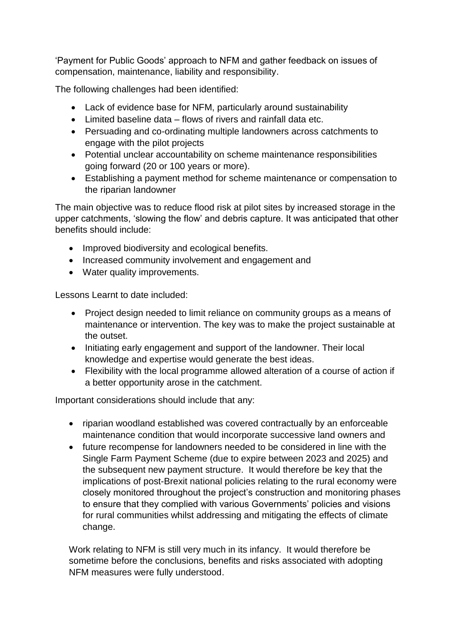'Payment for Public Goods' approach to NFM and gather feedback on issues of compensation, maintenance, liability and responsibility.

The following challenges had been identified:

- Lack of evidence base for NFM, particularly around sustainability
- Limited baseline data flows of rivers and rainfall data etc.
- Persuading and co-ordinating multiple landowners across catchments to engage with the pilot projects
- Potential unclear accountability on scheme maintenance responsibilities going forward (20 or 100 years or more).
- Establishing a payment method for scheme maintenance or compensation to the riparian landowner

The main objective was to reduce flood risk at pilot sites by increased storage in the upper catchments, 'slowing the flow' and debris capture. It was anticipated that other benefits should include:

- Improved biodiversity and ecological benefits.
- Increased community involvement and engagement and
- Water quality improvements.

Lessons Learnt to date included:

- Project design needed to limit reliance on community groups as a means of maintenance or intervention. The key was to make the project sustainable at the outset.
- Initiating early engagement and support of the landowner. Their local knowledge and expertise would generate the best ideas.
- Flexibility with the local programme allowed alteration of a course of action if a better opportunity arose in the catchment.

Important considerations should include that any:

- riparian woodland established was covered contractually by an enforceable maintenance condition that would incorporate successive land owners and
- future recompense for landowners needed to be considered in line with the Single Farm Payment Scheme (due to expire between 2023 and 2025) and the subsequent new payment structure. It would therefore be key that the implications of post-Brexit national policies relating to the rural economy were closely monitored throughout the project's construction and monitoring phases to ensure that they complied with various Governments' policies and visions for rural communities whilst addressing and mitigating the effects of climate change.

Work relating to NFM is still very much in its infancy. It would therefore be sometime before the conclusions, benefits and risks associated with adopting NFM measures were fully understood.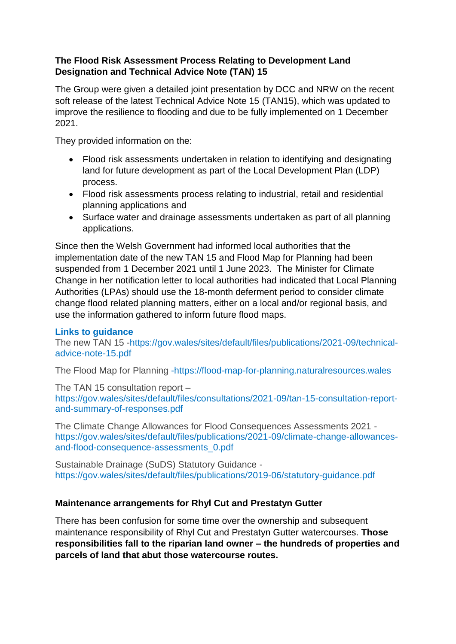### **The Flood Risk Assessment Process Relating to Development Land Designation and Technical Advice Note (TAN) 15**

The Group were given a detailed joint presentation by DCC and NRW on the recent soft release of the latest Technical Advice Note 15 (TAN15), which was updated to improve the resilience to flooding and due to be fully implemented on 1 December 2021.

They provided information on the:

- Flood risk assessments undertaken in relation to identifying and designating land for future development as part of the Local Development Plan (LDP) process.
- Flood risk assessments process relating to industrial, retail and residential planning applications and
- Surface water and drainage assessments undertaken as part of all planning applications.

Since then the Welsh Government had informed local authorities that the implementation date of the new TAN 15 and Flood Map for Planning had been suspended from 1 December 2021 until 1 June 2023. The Minister for Climate Change in her notification letter to local authorities had indicated that Local Planning Authorities (LPAs) should use the 18-month deferment period to consider climate change flood related planning matters, either on a local and/or regional basis, and use the information gathered to inform future flood maps.

#### **Links to guidance**

The new TAN 15 -https://gov.wales/sites/default/files/publications/2021-09/technicaladvice-note-15.pdf

The Flood Map for Planning -https://flood-map-for-planning.naturalresources.wales

The TAN 15 consultation report –

https://gov.wales/sites/default/files/consultations/2021-09/tan-15-consultation-reportand-summary-of-responses.pdf

The Climate Change Allowances for Flood Consequences Assessments 2021 https://gov.wales/sites/default/files/publications/2021-09/climate-change-allowancesand-flood-consequence-assessments\_0.pdf

Sustainable Drainage (SuDS) Statutory Guidance https://gov.wales/sites/default/files/publications/2019-06/statutory-guidance.pdf

#### **Maintenance arrangements for Rhyl Cut and Prestatyn Gutter**

There has been confusion for some time over the ownership and subsequent maintenance responsibility of Rhyl Cut and Prestatyn Gutter watercourses. **Those responsibilities fall to the riparian land owner – the hundreds of properties and parcels of land that abut those watercourse routes.**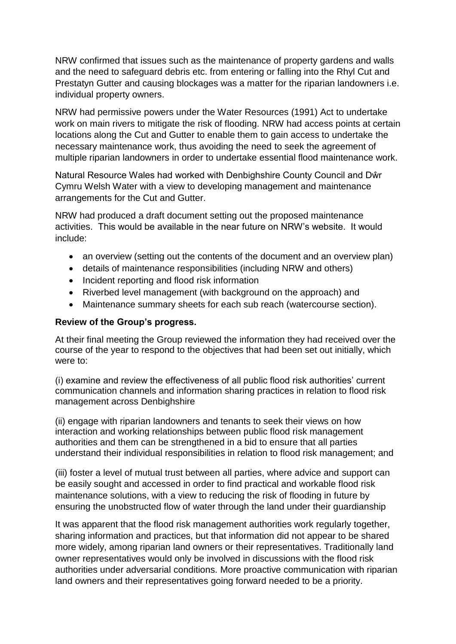NRW confirmed that issues such as the maintenance of property gardens and walls and the need to safeguard debris etc. from entering or falling into the Rhyl Cut and Prestatyn Gutter and causing blockages was a matter for the riparian landowners i.e. individual property owners.

NRW had permissive powers under the Water Resources (1991) Act to undertake work on main rivers to mitigate the risk of flooding. NRW had access points at certain locations along the Cut and Gutter to enable them to gain access to undertake the necessary maintenance work, thus avoiding the need to seek the agreement of multiple riparian landowners in order to undertake essential flood maintenance work.

Natural Resource Wales had worked with Denbighshire County Council and Dŵr Cymru Welsh Water with a view to developing management and maintenance arrangements for the Cut and Gutter.

NRW had produced a draft document setting out the proposed maintenance activities. This would be available in the near future on NRW's website. It would include:

- an overview (setting out the contents of the document and an overview plan)
- details of maintenance responsibilities (including NRW and others)
- Incident reporting and flood risk information
- Riverbed level management (with background on the approach) and
- Maintenance summary sheets for each sub reach (watercourse section).

#### **Review of the Group's progress.**

At their final meeting the Group reviewed the information they had received over the course of the year to respond to the objectives that had been set out initially, which were to:

(i) examine and review the effectiveness of all public flood risk authorities' current communication channels and information sharing practices in relation to flood risk management across Denbighshire

(ii) engage with riparian landowners and tenants to seek their views on how interaction and working relationships between public flood risk management authorities and them can be strengthened in a bid to ensure that all parties understand their individual responsibilities in relation to flood risk management; and

(iii) foster a level of mutual trust between all parties, where advice and support can be easily sought and accessed in order to find practical and workable flood risk maintenance solutions, with a view to reducing the risk of flooding in future by ensuring the unobstructed flow of water through the land under their guardianship

It was apparent that the flood risk management authorities work regularly together, sharing information and practices, but that information did not appear to be shared more widely, among riparian land owners or their representatives. Traditionally land owner representatives would only be involved in discussions with the flood risk authorities under adversarial conditions. More proactive communication with riparian land owners and their representatives going forward needed to be a priority.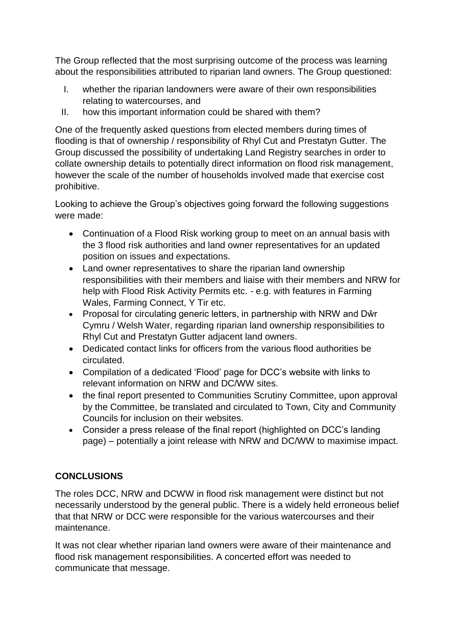The Group reflected that the most surprising outcome of the process was learning about the responsibilities attributed to riparian land owners. The Group questioned:

- I. whether the riparian landowners were aware of their own responsibilities relating to watercourses, and
- II. how this important information could be shared with them?

One of the frequently asked questions from elected members during times of flooding is that of ownership / responsibility of Rhyl Cut and Prestatyn Gutter. The Group discussed the possibility of undertaking Land Registry searches in order to collate ownership details to potentially direct information on flood risk management, however the scale of the number of households involved made that exercise cost prohibitive.

Looking to achieve the Group's objectives going forward the following suggestions were made:

- Continuation of a Flood Risk working group to meet on an annual basis with the 3 flood risk authorities and land owner representatives for an updated position on issues and expectations.
- Land owner representatives to share the riparian land ownership responsibilities with their members and liaise with their members and NRW for help with Flood Risk Activity Permits etc. - e.g. with features in Farming Wales, Farming Connect, Y Tir etc.
- Proposal for circulating generic letters, in partnership with NRW and Dŵr Cymru / Welsh Water, regarding riparian land ownership responsibilities to Rhyl Cut and Prestatyn Gutter adjacent land owners.
- Dedicated contact links for officers from the various flood authorities be circulated.
- Compilation of a dedicated 'Flood' page for DCC's website with links to relevant information on NRW and DC/WW sites.
- the final report presented to Communities Scrutiny Committee, upon approval by the Committee, be translated and circulated to Town, City and Community Councils for inclusion on their websites.
- Consider a press release of the final report (highlighted on DCC's landing page) – potentially a joint release with NRW and DC/WW to maximise impact.

# **CONCLUSIONS**

The roles DCC, NRW and DCWW in flood risk management were distinct but not necessarily understood by the general public. There is a widely held erroneous belief that that NRW or DCC were responsible for the various watercourses and their maintenance.

It was not clear whether riparian land owners were aware of their maintenance and flood risk management responsibilities. A concerted effort was needed to communicate that message.